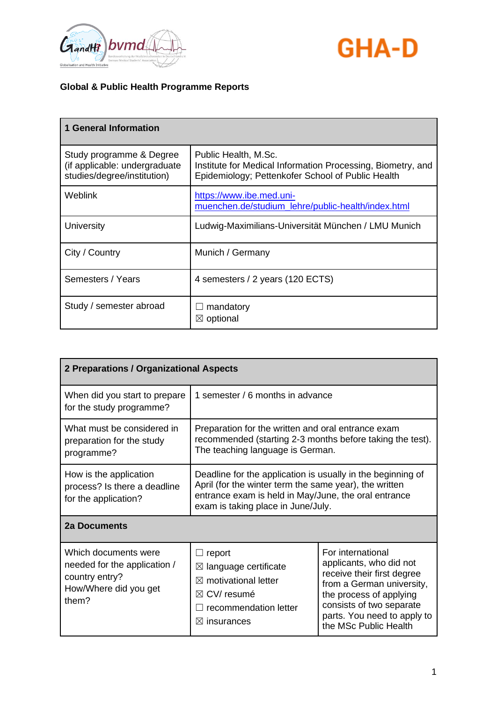



| <b>1 General Information</b>                                                             |                                                                                                                                          |
|------------------------------------------------------------------------------------------|------------------------------------------------------------------------------------------------------------------------------------------|
| Study programme & Degree<br>(if applicable: undergraduate<br>studies/degree/institution) | Public Health, M.Sc.<br>Institute for Medical Information Processing, Biometry, and<br>Epidemiology; Pettenkofer School of Public Health |
| Weblink                                                                                  | https://www.ibe.med.uni-<br>muenchen.de/studium_lehre/public-health/index.html                                                           |
| University                                                                               | Ludwig-Maximilians-Universität München / LMU Munich                                                                                      |
| City / Country                                                                           | Munich / Germany                                                                                                                         |
| Semesters / Years                                                                        | 4 semesters / 2 years (120 ECTS)                                                                                                         |
| Study / semester abroad                                                                  | mandatory<br>$\boxtimes$ optional                                                                                                        |

| 2 Preparations / Organizational Aspects                                                                  |                                                                                                                                                                                                                     |                                                                                                                                                                                                                        |
|----------------------------------------------------------------------------------------------------------|---------------------------------------------------------------------------------------------------------------------------------------------------------------------------------------------------------------------|------------------------------------------------------------------------------------------------------------------------------------------------------------------------------------------------------------------------|
| When did you start to prepare<br>for the study programme?                                                | 1 semester / 6 months in advance                                                                                                                                                                                    |                                                                                                                                                                                                                        |
| What must be considered in<br>preparation for the study<br>programme?                                    | Preparation for the written and oral entrance exam<br>recommended (starting 2-3 months before taking the test).<br>The teaching language is German.                                                                 |                                                                                                                                                                                                                        |
| How is the application<br>process? Is there a deadline<br>for the application?                           | Deadline for the application is usually in the beginning of<br>April (for the winter term the same year), the written<br>entrance exam is held in May/June, the oral entrance<br>exam is taking place in June/July. |                                                                                                                                                                                                                        |
| <b>2a Documents</b>                                                                                      |                                                                                                                                                                                                                     |                                                                                                                                                                                                                        |
| Which documents were<br>needed for the application /<br>country entry?<br>How/Where did you get<br>them? | $\Box$ report<br>$\boxtimes$ language certificate<br>$\boxtimes$ motivational letter<br>$\boxtimes$ CV/ resumé<br>recommendation letter<br>$\boxtimes$ insurances                                                   | For international<br>applicants, who did not<br>receive their first degree<br>from a German university,<br>the process of applying<br>consists of two separate<br>parts. You need to apply to<br>the MSc Public Health |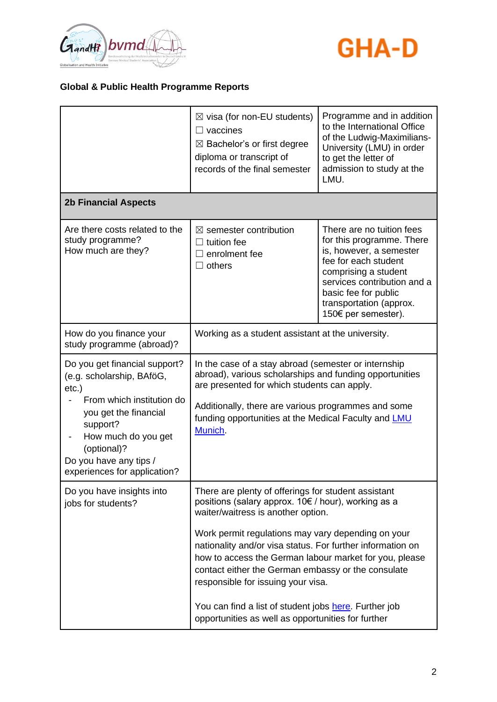



|                                                                                                                                                                                                                                          | $\boxtimes$ visa (for non-EU students)<br>$\Box$ vaccines<br>$\boxtimes$ Bachelor's or first degree<br>diploma or transcript of<br>records of the final semester                                                                                                                         | Programme and in addition<br>to the International Office<br>of the Ludwig-Maximilians-<br>University (LMU) in order<br>to get the letter of<br>admission to study at the<br>LMU.                                                           |
|------------------------------------------------------------------------------------------------------------------------------------------------------------------------------------------------------------------------------------------|------------------------------------------------------------------------------------------------------------------------------------------------------------------------------------------------------------------------------------------------------------------------------------------|--------------------------------------------------------------------------------------------------------------------------------------------------------------------------------------------------------------------------------------------|
| <b>2b Financial Aspects</b>                                                                                                                                                                                                              |                                                                                                                                                                                                                                                                                          |                                                                                                                                                                                                                                            |
| Are there costs related to the<br>study programme?<br>How much are they?                                                                                                                                                                 | $\boxtimes$ semester contribution<br>tuition fee<br>enrolment fee<br>$\Box$ others                                                                                                                                                                                                       | There are no tuition fees<br>for this programme. There<br>is, however, a semester<br>fee for each student<br>comprising a student<br>services contribution and a<br>basic fee for public<br>transportation (approx.<br>150€ per semester). |
| How do you finance your<br>study programme (abroad)?                                                                                                                                                                                     | Working as a student assistant at the university.                                                                                                                                                                                                                                        |                                                                                                                                                                                                                                            |
| Do you get financial support?<br>(e.g. scholarship, BAföG,<br>$etc.$ )<br>From which institution do<br>you get the financial<br>support?<br>How much do you get<br>(optional)?<br>Do you have any tips /<br>experiences for application? | In the case of a stay abroad (semester or internship<br>abroad), various scholarships and funding opportunities<br>are presented for which students can apply.<br>Additionally, there are various programmes and some<br>funding opportunities at the Medical Faculty and LMU<br>Munich. |                                                                                                                                                                                                                                            |
| Do you have insights into<br>jobs for students?                                                                                                                                                                                          | There are plenty of offerings for student assistant<br>positions (salary approx. 10€ / hour), working as a<br>waiter/waitress is another option.<br>Work permit regulations may vary depending on your                                                                                   |                                                                                                                                                                                                                                            |
|                                                                                                                                                                                                                                          | nationality and/or visa status. For further information on<br>how to access the German labour market for you, please<br>contact either the German embassy or the consulate<br>responsible for issuing your visa.                                                                         |                                                                                                                                                                                                                                            |
|                                                                                                                                                                                                                                          | You can find a list of student jobs here. Further job<br>opportunities as well as opportunities for further                                                                                                                                                                              |                                                                                                                                                                                                                                            |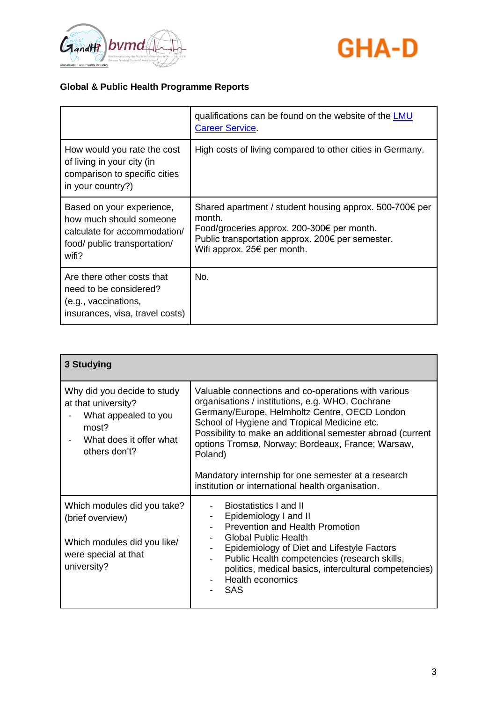



|                                                                                                                               | qualifications can be found on the website of the <b>LMU</b><br><b>Career Service</b>                                                                                                                                  |
|-------------------------------------------------------------------------------------------------------------------------------|------------------------------------------------------------------------------------------------------------------------------------------------------------------------------------------------------------------------|
| How would you rate the cost<br>of living in your city (in<br>comparison to specific cities<br>in your country?)               | High costs of living compared to other cities in Germany.                                                                                                                                                              |
| Based on your experience,<br>how much should someone<br>calculate for accommodation/<br>food/ public transportation/<br>wifi? | Shared apartment / student housing approx. $500-700 \epsilon$ per<br>month.<br>Food/groceries approx. 200-300€ per month.<br>Public transportation approx. 200€ per semester.<br>Wifi approx. 25 $\epsilon$ per month. |
| Are there other costs that<br>need to be considered?<br>(e.g., vaccinations,<br>insurances, visa, travel costs)               | No.                                                                                                                                                                                                                    |

| 3 Studying                                                                                                                      |                                                                                                                                                                                                                                                                                                                                                                                               |
|---------------------------------------------------------------------------------------------------------------------------------|-----------------------------------------------------------------------------------------------------------------------------------------------------------------------------------------------------------------------------------------------------------------------------------------------------------------------------------------------------------------------------------------------|
| Why did you decide to study<br>at that university?<br>What appealed to you<br>most?<br>What does it offer what<br>others don't? | Valuable connections and co-operations with various<br>organisations / institutions, e.g. WHO, Cochrane<br>Germany/Europe, Helmholtz Centre, OECD London<br>School of Hygiene and Tropical Medicine etc.<br>Possibility to make an additional semester abroad (current<br>options Tromsø, Norway; Bordeaux, France; Warsaw,<br>Poland)<br>Mandatory internship for one semester at a research |
|                                                                                                                                 | institution or international health organisation.                                                                                                                                                                                                                                                                                                                                             |
| Which modules did you take?<br>(brief overview)<br>Which modules did you like/<br>were special at that<br>university?           | Biostatistics I and II<br>Epidemiology I and II<br>Prevention and Health Promotion<br><b>Global Public Health</b><br>Epidemiology of Diet and Lifestyle Factors<br>Public Health competencies (research skills,<br>$\overline{\phantom{a}}$<br>politics, medical basics, intercultural competencies)<br>Health economics<br><b>SAS</b>                                                        |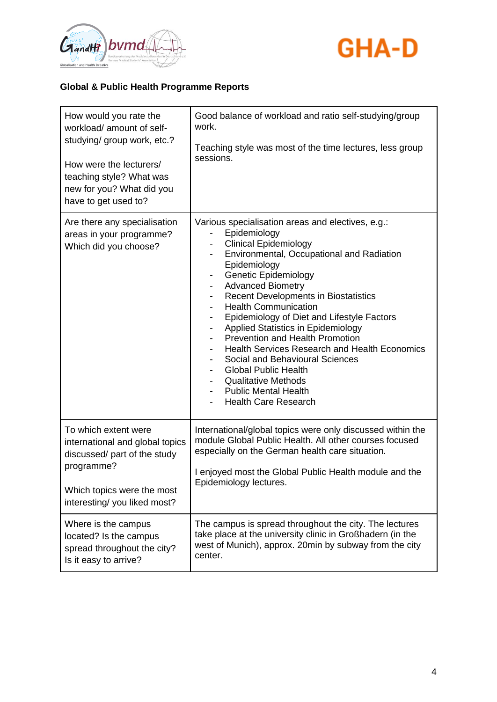



| How would you rate the<br>workload/amount of self-<br>studying/ group work, etc.?<br>How were the lecturers/<br>teaching style? What was<br>new for you? What did you<br>have to get used to? | Good balance of workload and ratio self-studying/group<br>work.<br>Teaching style was most of the time lectures, less group<br>sessions.                                                                                                                                                                                                                                                                                                                                                                                                                                                                                                                                                                |
|-----------------------------------------------------------------------------------------------------------------------------------------------------------------------------------------------|---------------------------------------------------------------------------------------------------------------------------------------------------------------------------------------------------------------------------------------------------------------------------------------------------------------------------------------------------------------------------------------------------------------------------------------------------------------------------------------------------------------------------------------------------------------------------------------------------------------------------------------------------------------------------------------------------------|
| Are there any specialisation<br>areas in your programme?<br>Which did you choose?                                                                                                             | Various specialisation areas and electives, e.g.:<br>Epidemiology<br><b>Clinical Epidemiology</b><br>Environmental, Occupational and Radiation<br>$\blacksquare$<br>Epidemiology<br><b>Genetic Epidemiology</b><br><b>Advanced Biometry</b><br><b>Recent Developments in Biostatistics</b><br><b>Health Communication</b><br>Epidemiology of Diet and Lifestyle Factors<br>-<br>Applied Statistics in Epidemiology<br>$\overline{\phantom{a}}$<br>Prevention and Health Promotion<br><b>Health Services Research and Health Economics</b><br>Social and Behavioural Sciences<br><b>Global Public Health</b><br><b>Qualitative Methods</b><br><b>Public Mental Health</b><br><b>Health Care Research</b> |
| To which extent were<br>international and global topics<br>discussed/ part of the study<br>programme?<br>Which topics were the most<br>interesting/ you liked most?                           | International/global topics were only discussed within the<br>module Global Public Health. All other courses focused<br>especially on the German health care situation.<br>I enjoyed most the Global Public Health module and the<br>Epidemiology lectures.                                                                                                                                                                                                                                                                                                                                                                                                                                             |
| Where is the campus<br>located? Is the campus<br>spread throughout the city?<br>Is it easy to arrive?                                                                                         | The campus is spread throughout the city. The lectures<br>take place at the university clinic in Großhadern (in the<br>west of Munich), approx. 20min by subway from the city<br>center.                                                                                                                                                                                                                                                                                                                                                                                                                                                                                                                |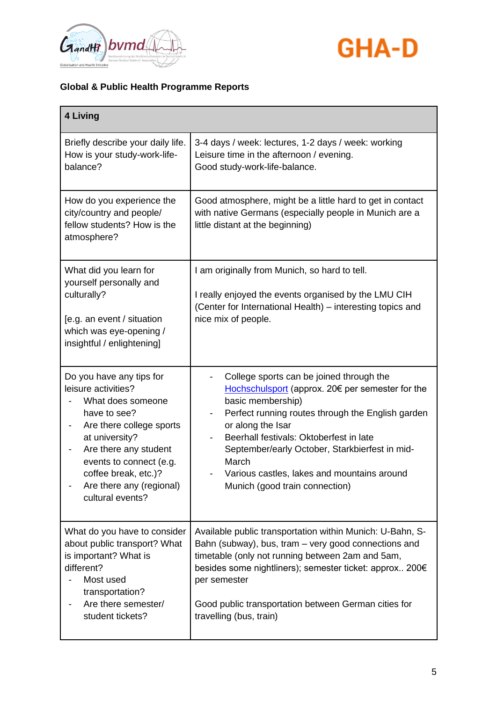



| 4 Living                                                                                                                                                                                                                                                       |                                                                                                                                                                                                                                                                                                                                                                                                                |
|----------------------------------------------------------------------------------------------------------------------------------------------------------------------------------------------------------------------------------------------------------------|----------------------------------------------------------------------------------------------------------------------------------------------------------------------------------------------------------------------------------------------------------------------------------------------------------------------------------------------------------------------------------------------------------------|
| Briefly describe your daily life.<br>How is your study-work-life-<br>balance?                                                                                                                                                                                  | 3-4 days / week: lectures, 1-2 days / week: working<br>Leisure time in the afternoon / evening.<br>Good study-work-life-balance.                                                                                                                                                                                                                                                                               |
| How do you experience the<br>city/country and people/<br>fellow students? How is the<br>atmosphere?                                                                                                                                                            | Good atmosphere, might be a little hard to get in contact<br>with native Germans (especially people in Munich are a<br>little distant at the beginning)                                                                                                                                                                                                                                                        |
| What did you learn for<br>yourself personally and<br>culturally?<br>[e.g. an event / situation<br>which was eye-opening /<br>insightful / enlightening]                                                                                                        | I am originally from Munich, so hard to tell.<br>I really enjoyed the events organised by the LMU CIH<br>(Center for International Health) – interesting topics and<br>nice mix of people.                                                                                                                                                                                                                     |
| Do you have any tips for<br>leisure activities?<br>What does someone<br>have to see?<br>Are there college sports<br>at university?<br>Are there any student<br>events to connect (e.g.<br>coffee break, etc.)?<br>Are there any (regional)<br>cultural events? | College sports can be joined through the<br>Hochschulsport (approx. 20€ per semester for the<br>basic membership)<br>Perfect running routes through the English garden<br>or along the Isar<br>Beerhall festivals: Oktoberfest in late<br>$\overline{\phantom{a}}$<br>September/early October, Starkbierfest in mid-<br>March<br>Various castles, lakes and mountains around<br>Munich (good train connection) |
| What do you have to consider<br>about public transport? What<br>is important? What is<br>different?<br>Most used<br>transportation?<br>Are there semester/<br>student tickets?                                                                                 | Available public transportation within Munich: U-Bahn, S-<br>Bahn (subway), bus, tram – very good connections and<br>timetable (only not running between 2am and 5am,<br>besides some nightliners); semester ticket: approx 200€<br>per semester<br>Good public transportation between German cities for<br>travelling (bus, train)                                                                            |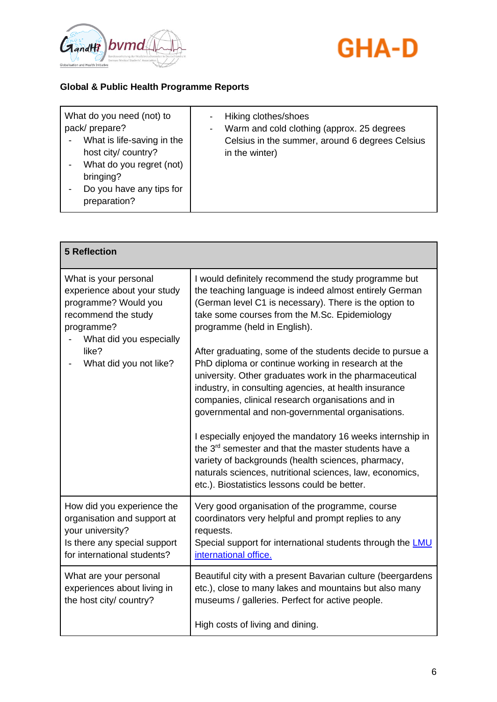



| What do you need (not) to<br>pack/prepare?<br>What is life-saving in the<br>host city/ country?<br>What do you regret (not)<br>bringing?<br>Do you have any tips for<br>preparation? | Hiking clothes/shoes<br>Warm and cold clothing (approx. 25 degrees<br>Celsius in the summer, around 6 degrees Celsius<br>in the winter) |
|--------------------------------------------------------------------------------------------------------------------------------------------------------------------------------------|-----------------------------------------------------------------------------------------------------------------------------------------|
|--------------------------------------------------------------------------------------------------------------------------------------------------------------------------------------|-----------------------------------------------------------------------------------------------------------------------------------------|

| <b>5 Reflection</b>                                                                                                                                                             |                                                                                                                                                                                                                                                                                                                                             |
|---------------------------------------------------------------------------------------------------------------------------------------------------------------------------------|---------------------------------------------------------------------------------------------------------------------------------------------------------------------------------------------------------------------------------------------------------------------------------------------------------------------------------------------|
| What is your personal<br>experience about your study<br>programme? Would you<br>recommend the study<br>programme?<br>What did you especially<br>like?<br>What did you not like? | I would definitely recommend the study programme but<br>the teaching language is indeed almost entirely German<br>(German level C1 is necessary). There is the option to<br>take some courses from the M.Sc. Epidemiology<br>programme (held in English).                                                                                   |
|                                                                                                                                                                                 | After graduating, some of the students decide to pursue a<br>PhD diploma or continue working in research at the<br>university. Other graduates work in the pharmaceutical<br>industry, in consulting agencies, at health insurance<br>companies, clinical research organisations and in<br>governmental and non-governmental organisations. |
|                                                                                                                                                                                 | I especially enjoyed the mandatory 16 weeks internship in<br>the 3 <sup>rd</sup> semester and that the master students have a<br>variety of backgrounds (health sciences, pharmacy,<br>naturals sciences, nutritional sciences, law, economics,<br>etc.). Biostatistics lessons could be better.                                            |
| How did you experience the<br>organisation and support at<br>your university?<br>Is there any special support<br>for international students?                                    | Very good organisation of the programme, course<br>coordinators very helpful and prompt replies to any<br>requests.<br>Special support for international students through the <b>LMU</b><br>international office.                                                                                                                           |
| What are your personal<br>experiences about living in<br>the host city/ country?                                                                                                | Beautiful city with a present Bavarian culture (beergardens<br>etc.), close to many lakes and mountains but also many<br>museums / galleries. Perfect for active people.                                                                                                                                                                    |
|                                                                                                                                                                                 | High costs of living and dining.                                                                                                                                                                                                                                                                                                            |